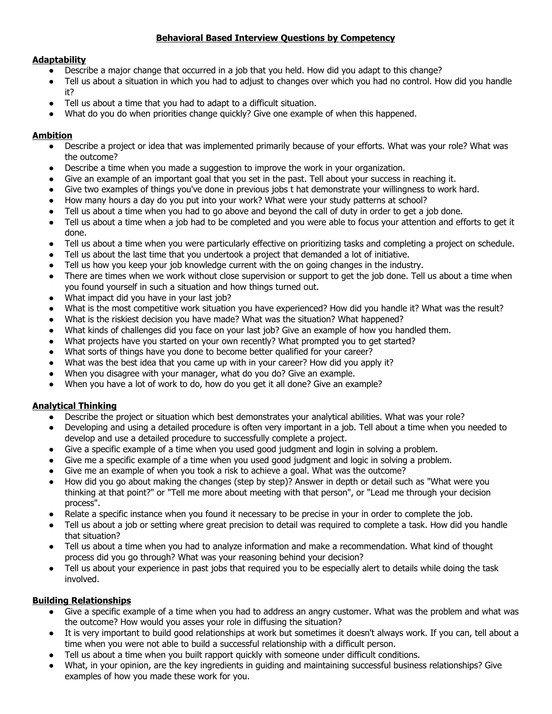# **Behavioral Based Interview Questions by Competency**

# **Adaptability**

- Describe a major change that occurred in a job that you held. How did you adapt to this change?
- Tell us about a situation in which you had to adjust to changes over which you had no control. How did you handle it?
- Tell us about a time that you had to adapt to a difficult situation.
- What do you do when priorities change quickly? Give one example of when this happened.

## **Ambition**

- Describe a project or idea that was implemented primarily because of your efforts. What was your role? What was the outcome?
- Describe a time when you made a suggestion to improve the work in your organization.
- Give an example of an important goal that you set in the past. Tell about your success in reaching it.
- Give two examples of things you've done in previous jobs t hat demonstrate your willingness to work hard.
- How many hours a day do you put into your work? What were your study patterns at school?
- Tell us about a time when you had to go above and beyond the call of duty in order to get a job done.
- Tell us about a time when a job had to be completed and you were able to focus your attention and efforts to get it done.
- Tell us about a time when you were particularly effective on prioritizing tasks and completing a project on schedule.
- Tell us about the last time that you undertook a project that demanded a lot of initiative.
- Tell us how you keep your job knowledge current with the on going changes in the industry.
- There are times when we work without close supervision or support to get the job done. Tell us about a time when you found yourself in such a situation and how things turned out.
- What impact did you have in your last job?
- What is the most competitive work situation you have experienced? How did you handle it? What was the result?
- What is the riskiest decision you have made? What was the situation? What happened?
- What kinds of challenges did you face on your last job? Give an example of how you handled them.
- What projects have you started on your own recently? What prompted you to get started?
- What sorts of things have you done to become better qualified for your career?
- What was the best idea that you came up with in your career? How did you apply it?
- When you disagree with your manager, what do you do? Give an example.
- When you have a lot of work to do, how do you get it all done? Give an example?

# **Analytical Thinking**

- Describe the project or situation which best demonstrates your analytical abilities. What was your role?
- Developing and using a detailed procedure is often very important in a job. Tell about a time when you needed to develop and use a detailed procedure to successfully complete a project.
- Give a specific example of a time when you used good judgment and login in solving a problem.
- Give me a specific example of a time when you used good judgment and logic in solving a problem.
- Give me an example of when you took a risk to achieve a goal. What was the outcome?
- How did you go about making the changes (step by step)? Answer in depth or detail such as "What were you thinking at that point?" or "Tell me more about meeting with that person", or "Lead me through your decision process".
- Relate a specific instance when you found it necessary to be precise in your in order to complete the job.
- Tell us about a job or setting where great precision to detail was required to complete a task. How did you handle that situation?
- Tell us about a time when you had to analyze information and make a recommendation. What kind of thought process did you go through? What was your reasoning behind your decision?
- Tell us about your experience in past jobs that required you to be especially alert to details while doing the task involved.

# **Building Relationships**

- Give a specific example of a time when you had to address an angry customer. What was the problem and what was the outcome? How would you asses your role in diffusing the situation?
- It is very important to build good relationships at work but sometimes it doesn't always work. If you can, tell about a time when you were not able to build a successful relationship with a difficult person.
- Tell us about a time when you built rapport quickly with someone under difficult conditions.
- What, in your opinion, are the key ingredients in guiding and maintaining successful business relationships? Give examples of how you made these work for you.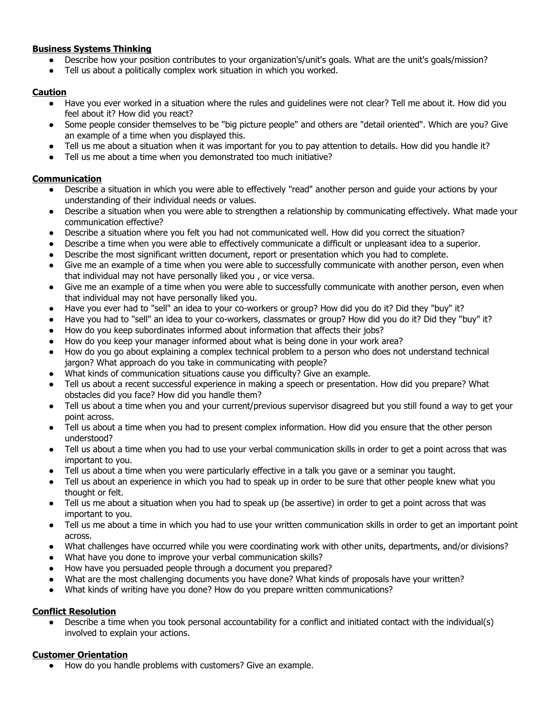## **Business Systems Thinking**

- Describe how your position contributes to your organization's/unit's goals. What are the unit's goals/mission?
- Tell us about a politically complex work situation in which you worked.

## **Caution**

- Have you ever worked in a situation where the rules and guidelines were not clear? Tell me about it. How did you feel about it? How did you react?
- Some people consider themselves to be "big picture people" and others are "detail oriented". Which are you? Give an example of a time when you displayed this.
- Tell us me about a situation when it was important for you to pay attention to details. How did you handle it?
- Tell us me about a time when you demonstrated too much initiative?

## **Communication**

- Describe a situation in which you were able to effectively "read" another person and guide your actions by your understanding of their individual needs or values.
- Describe a situation when you were able to strengthen a relationship by communicating effectively. What made your communication effective?
- Describe a situation where you felt you had not communicated well. How did you correct the situation?
- Describe a time when you were able to effectively communicate a difficult or unpleasant idea to a superior.
- Describe the most significant written document, report or presentation which you had to complete.
- Give me an example of a time when you were able to successfully communicate with another person, even when that individual may not have personally liked you , or vice versa.
- Give me an example of a time when you were able to successfully communicate with another person, even when that individual may not have personally liked you.
- Have you ever had to "sell" an idea to your co-workers or group? How did you do it? Did they "buy" it?
- Have you had to "sell" an idea to your co-workers, classmates or group? How did you do it? Did they "buy" it?
- How do you keep subordinates informed about information that affects their jobs?
- How do you keep your manager informed about what is being done in your work area?
- How do you go about explaining a complex technical problem to a person who does not understand technical jargon? What approach do you take in communicating with people?
- What kinds of communication situations cause you difficulty? Give an example.
- Tell us about a recent successful experience in making a speech or presentation. How did you prepare? What obstacles did you face? How did you handle them?
- Tell us about a time when you and your current/previous supervisor disagreed but you still found a way to get your point across.
- Tell us about a time when you had to present complex information. How did you ensure that the other person understood?
- Tell us about a time when you had to use your verbal communication skills in order to get a point across that was important to you.
- Tell us about a time when you were particularly effective in a talk you gave or a seminar you taught.
- Tell us about an experience in which you had to speak up in order to be sure that other people knew what you thought or felt.
- Tell us me about a situation when you had to speak up (be assertive) in order to get a point across that was important to you.
- Tell us me about a time in which you had to use your written communication skills in order to get an important point across.
- What challenges have occurred while you were coordinating work with other units, departments, and/or divisions?
- What have you done to improve your verbal communication skills?
- How have you persuaded people through a document you prepared?
- What are the most challenging documents you have done? What kinds of proposals have your written?
- What kinds of writing have you done? How do you prepare written communications?

## **Conflict Resolution**

● Describe a time when you took personal accountability for a conflict and initiated contact with the individual(s) involved to explain your actions.

## **Customer Orientation**

● How do you handle problems with customers? Give an example.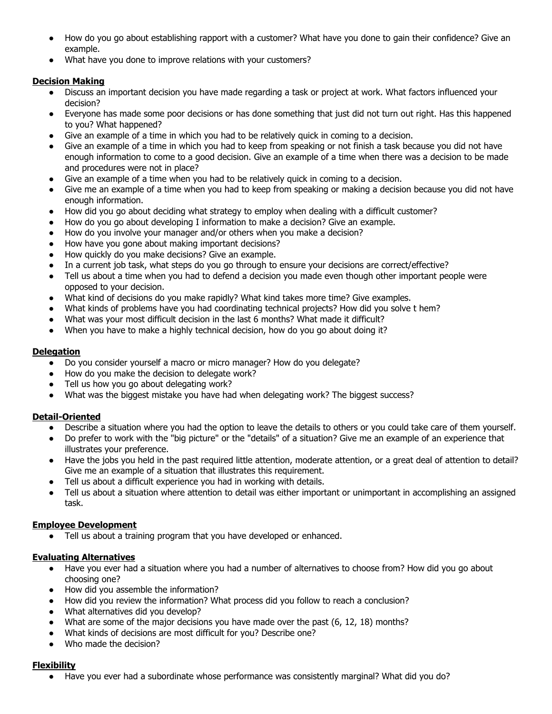- How do you go about establishing rapport with a customer? What have you done to gain their confidence? Give an example.
- What have you done to improve relations with your customers?

# **Decision Making**

- Discuss an important decision you have made regarding a task or project at work. What factors influenced your decision?
- Everyone has made some poor decisions or has done something that just did not turn out right. Has this happened to you? What happened?
- Give an example of a time in which you had to be relatively quick in coming to a decision.
- Give an example of a time in which you had to keep from speaking or not finish a task because you did not have enough information to come to a good decision. Give an example of a time when there was a decision to be made and procedures were not in place?
- Give an example of a time when you had to be relatively quick in coming to a decision.
- Give me an example of a time when you had to keep from speaking or making a decision because you did not have enough information.
- How did you go about deciding what strategy to employ when dealing with a difficult customer?
- How do you go about developing I information to make a decision? Give an example.
- How do you involve your manager and/or others when you make a decision?
- How have you gone about making important decisions?
- How quickly do you make decisions? Give an example.
- In a current job task, what steps do you go through to ensure your decisions are correct/effective?
- Tell us about a time when you had to defend a decision you made even though other important people were opposed to your decision.
- What kind of decisions do you make rapidly? What kind takes more time? Give examples.
- What kinds of problems have you had coordinating technical projects? How did you solve t hem?
- What was your most difficult decision in the last 6 months? What made it difficult?
- When you have to make a highly technical decision, how do you go about doing it?

# **Delegation**

- Do you consider yourself a macro or micro manager? How do you delegate?
- How do you make the decision to delegate work?
- Tell us how you go about delegating work?
- What was the biggest mistake you have had when delegating work? The biggest success?

# **Detail-Oriented**

- Describe a situation where you had the option to leave the details to others or you could take care of them yourself.
- Do prefer to work with the "big picture" or the "details" of a situation? Give me an example of an experience that illustrates your preference.
- Have the jobs you held in the past required little attention, moderate attention, or a great deal of attention to detail? Give me an example of a situation that illustrates this requirement.
- Tell us about a difficult experience you had in working with details.
- Tell us about a situation where attention to detail was either important or unimportant in accomplishing an assigned task.

## **Employee Development**

● Tell us about a training program that you have developed or enhanced.

# **Evaluating Alternatives**

- Have you ever had a situation where you had a number of alternatives to choose from? How did you go about choosing one?
- How did you assemble the information?
- How did you review the information? What process did you follow to reach a conclusion?
- What alternatives did you develop?
- $\bullet$  What are some of the major decisions you have made over the past (6, 12, 18) months?
- What kinds of decisions are most difficult for you? Describe one?
- Who made the decision?

## **Flexibility**

● Have you ever had a subordinate whose performance was consistently marginal? What did you do?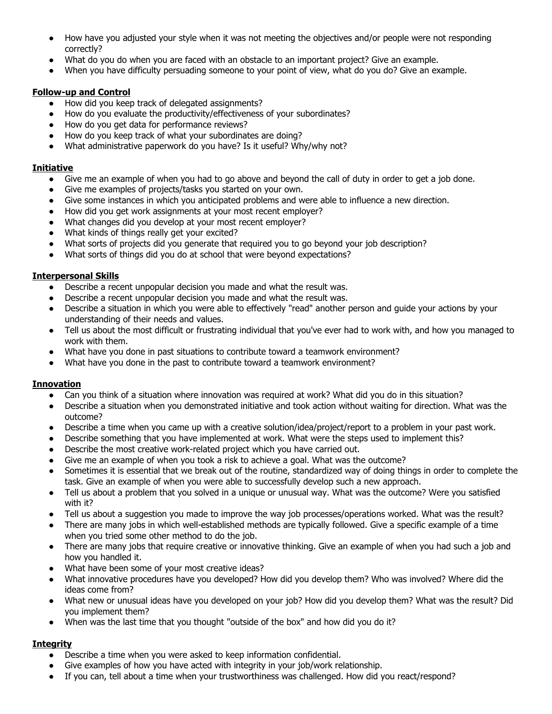- How have you adjusted your style when it was not meeting the objectives and/or people were not responding correctly?
- What do you do when you are faced with an obstacle to an important project? Give an example.
- When you have difficulty persuading someone to your point of view, what do you do? Give an example.

# **Follow-up and Control**

- How did you keep track of delegated assignments?
- How do you evaluate the productivity/effectiveness of your subordinates?
- How do you get data for performance reviews?
- How do you keep track of what your subordinates are doing?
- What administrative paperwork do you have? Is it useful? Why/why not?

## **Initiative**

- Give me an example of when you had to go above and beyond the call of duty in order to get a job done.
- Give me examples of projects/tasks you started on your own.
- Give some instances in which you anticipated problems and were able to influence a new direction.
- How did you get work assignments at your most recent employer?
- What changes did you develop at your most recent employer?
- What kinds of things really get your excited?
- What sorts of projects did you generate that required you to go beyond your job description?
- What sorts of things did you do at school that were beyond expectations?

# **Interpersonal Skills**

- Describe a recent unpopular decision you made and what the result was.
- Describe a recent unpopular decision you made and what the result was.
- Describe a situation in which you were able to effectively "read" another person and guide your actions by your understanding of their needs and values.
- Tell us about the most difficult or frustrating individual that you've ever had to work with, and how you managed to work with them.
- What have you done in past situations to contribute toward a teamwork environment?
- What have you done in the past to contribute toward a teamwork environment?

# **Innovation**

- Can you think of a situation where innovation was required at work? What did you do in this situation?
- Describe a situation when you demonstrated initiative and took action without waiting for direction. What was the outcome?
- Describe a time when you came up with a creative solution/idea/project/report to a problem in your past work.
- Describe something that you have implemented at work. What were the steps used to implement this?
- Describe the most creative workrelated project which you have carried out.
- Give me an example of when you took a risk to achieve a goal. What was the outcome?
- Sometimes it is essential that we break out of the routine, standardized way of doing things in order to complete the task. Give an example of when you were able to successfully develop such a new approach.
- Tell us about a problem that you solved in a unique or unusual way. What was the outcome? Were you satisfied with it?
- Tell us about a suggestion you made to improve the way job processes/operations worked. What was the result?
- There are many jobs in which well-established methods are typically followed. Give a specific example of a time when you tried some other method to do the job.
- There are many jobs that require creative or innovative thinking. Give an example of when you had such a job and how you handled it.
- What have been some of your most creative ideas?
- What innovative procedures have you developed? How did you develop them? Who was involved? Where did the ideas come from?
- What new or unusual ideas have you developed on your job? How did you develop them? What was the result? Did you implement them?
- When was the last time that you thought "outside of the box" and how did you do it?

# **Integrity**

- Describe a time when you were asked to keep information confidential.
- Give examples of how you have acted with integrity in your job/work relationship.
- If you can, tell about a time when your trustworthiness was challenged. How did you react/respond?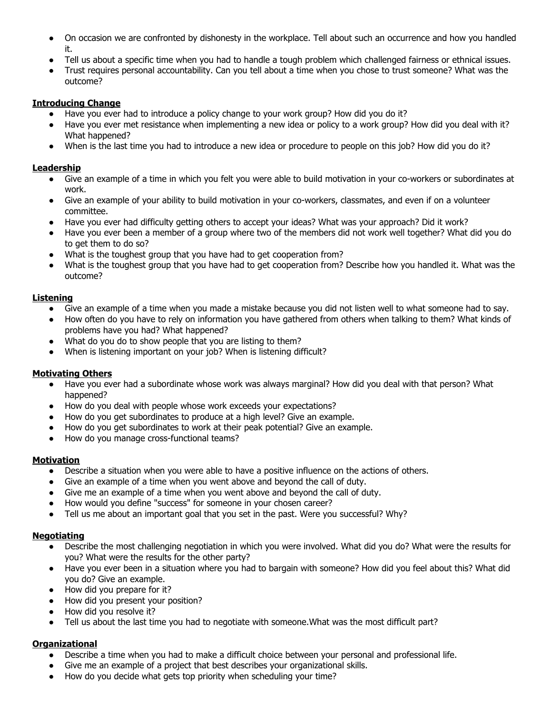- On occasion we are confronted by dishonesty in the workplace. Tell about such an occurrence and how you handled it.
- Tell us about a specific time when you had to handle a tough problem which challenged fairness or ethnical issues.
- Trust requires personal accountability. Can you tell about a time when you chose to trust someone? What was the outcome?

# **Introducing Change**

- Have you ever had to introduce a policy change to your work group? How did you do it?
- Have you ever met resistance when implementing a new idea or policy to a work group? How did you deal with it? What happened?
- When is the last time you had to introduce a new idea or procedure to people on this job? How did you do it?

## **Leadership**

- Give an example of a time in which you felt you were able to build motivation in your co-workers or subordinates at work.
- Give an example of your ability to build motivation in your co-workers, classmates, and even if on a volunteer committee.
- Have you ever had difficulty getting others to accept your ideas? What was your approach? Did it work?
- Have you ever been a member of a group where two of the members did not work well together? What did you do to get them to do so?
- What is the toughest group that you have had to get cooperation from?
- What is the toughest group that you have had to get cooperation from? Describe how you handled it. What was the outcome?

# **Listening**

- Give an example of a time when you made a mistake because you did not listen well to what someone had to say.
- How often do you have to rely on information you have gathered from others when talking to them? What kinds of problems have you had? What happened?
- What do you do to show people that you are listing to them?
- When is listening important on your job? When is listening difficult?

## **Motivating Others**

- Have you ever had a subordinate whose work was always marginal? How did you deal with that person? What happened?
- How do you deal with people whose work exceeds your expectations?
- How do you get subordinates to produce at a high level? Give an example.
- How do you get subordinates to work at their peak potential? Give an example.
- How do you manage cross-functional teams?

## **Motivation**

- Describe a situation when you were able to have a positive influence on the actions of others.
- Give an example of a time when you went above and beyond the call of duty.
- Give me an example of a time when you went above and beyond the call of duty.
- How would you define "success" for someone in your chosen career?
- Tell us me about an important goal that you set in the past. Were you successful? Why?

## **Negotiating**

- Describe the most challenging negotiation in which you were involved. What did you do? What were the results for you? What were the results for the other party?
- Have you ever been in a situation where you had to bargain with someone? How did you feel about this? What did you do? Give an example.
- How did you prepare for it?
- How did you present your position?
- How did you resolve it?
- Tell us about the last time you had to negotiate with someone. What was the most difficult part?

## **Organizational**

- Describe a time when you had to make a difficult choice between your personal and professional life.
- Give me an example of a project that best describes your organizational skills.
- How do you decide what gets top priority when scheduling your time?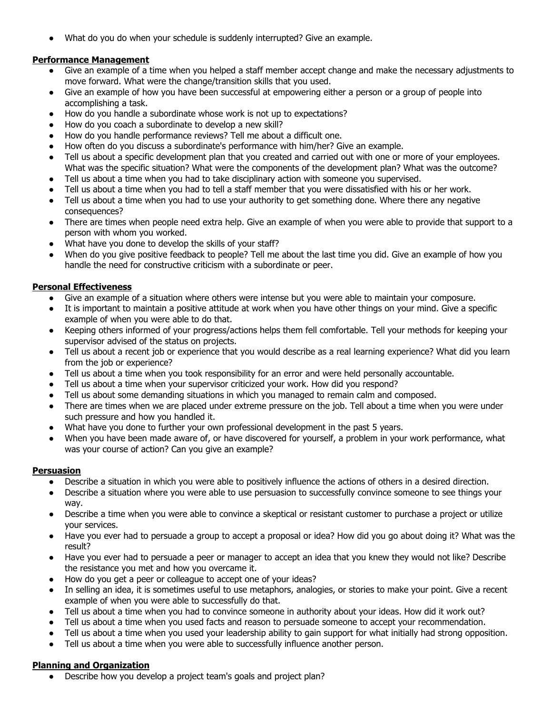What do you do when your schedule is suddenly interrupted? Give an example.

# **Performance Management**

- Give an example of a time when you helped a staff member accept change and make the necessary adjustments to move forward. What were the change/transition skills that you used.
- Give an example of how you have been successful at empowering either a person or a group of people into accomplishing a task.
- How do you handle a subordinate whose work is not up to expectations?
- How do you coach a subordinate to develop a new skill?
- How do you handle performance reviews? Tell me about a difficult one.
- How often do you discuss a subordinate's performance with him/her? Give an example.
- Tell us about a specific development plan that you created and carried out with one or more of your employees. What was the specific situation? What were the components of the development plan? What was the outcome?
- Tell us about a time when you had to take disciplinary action with someone you supervised.
- Tell us about a time when you had to tell a staff member that you were dissatisfied with his or her work.
- Tell us about a time when you had to use your authority to get something done. Where there any negative consequences?
- There are times when people need extra help. Give an example of when you were able to provide that support to a person with whom you worked.
- What have you done to develop the skills of your staff?
- When do you give positive feedback to people? Tell me about the last time you did. Give an example of how you handle the need for constructive criticism with a subordinate or peer.

## **Personal Effectiveness**

- Give an example of a situation where others were intense but you were able to maintain your composure.
- It is important to maintain a positive attitude at work when you have other things on your mind. Give a specific example of when you were able to do that.
- Keeping others informed of your progress/actions helps them fell comfortable. Tell your methods for keeping your supervisor advised of the status on projects.
- Tell us about a recent job or experience that you would describe as a real learning experience? What did you learn from the job or experience?
- Tell us about a time when you took responsibility for an error and were held personally accountable.
- Tell us about a time when your supervisor criticized your work. How did you respond?
- Tell us about some demanding situations in which you managed to remain calm and composed.
- There are times when we are placed under extreme pressure on the job. Tell about a time when you were under such pressure and how you handled it.
- What have you done to further your own professional development in the past 5 years.
- When you have been made aware of, or have discovered for yourself, a problem in your work performance, what was your course of action? Can you give an example?

# **Persuasion**

- Describe a situation in which you were able to positively influence the actions of others in a desired direction.
- Describe a situation where you were able to use persuasion to successfully convince someone to see things your way.
- Describe a time when you were able to convince a skeptical or resistant customer to purchase a project or utilize your services.
- Have you ever had to persuade a group to accept a proposal or idea? How did you go about doing it? What was the result?
- Have you ever had to persuade a peer or manager to accept an idea that you knew they would not like? Describe the resistance you met and how you overcame it.
- How do you get a peer or colleague to accept one of your ideas?
- In selling an idea, it is sometimes useful to use metaphors, analogies, or stories to make your point. Give a recent example of when you were able to successfully do that.
- Tell us about a time when you had to convince someone in authority about your ideas. How did it work out?
- Tell us about a time when you used facts and reason to persuade someone to accept your recommendation.
- Tell us about a time when you used your leadership ability to gain support for what initially had strong opposition.
- Tell us about a time when you were able to successfully influence another person.

## **Planning and Organization**

● Describe how you develop a project team's goals and project plan?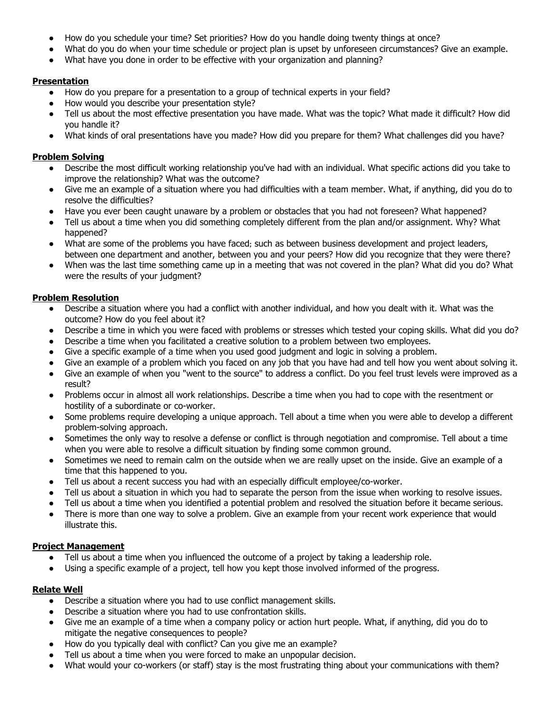- How do you schedule your time? Set priorities? How do you handle doing twenty things at once?
- What do you do when your time schedule or project plan is upset by unforeseen circumstances? Give an example.
- What have you done in order to be effective with your organization and planning?

# **Presentation**

- How do you prepare for a presentation to a group of technical experts in your field?
- How would you describe your presentation style?
- Tell us about the most effective presentation you have made. What was the topic? What made it difficult? How did you handle it?
- What kinds of oral presentations have you made? How did you prepare for them? What challenges did you have?

# **Problem Solving**

- Describe the most difficult working relationship you've had with an individual. What specific actions did you take to improve the relationship? What was the outcome?
- Give me an example of a situation where you had difficulties with a team member. What, if anything, did you do to resolve the difficulties?
- Have you ever been caught unaware by a problem or obstacles that you had not foreseen? What happened?
- Tell us about a time when you did something completely different from the plan and/or assignment. Why? What happened?
- What are some of the problems you have faced; such as between business development and project leaders, between one department and another, between you and your peers? How did you recognize that they were there?
- When was the last time something came up in a meeting that was not covered in the plan? What did you do? What were the results of your judgment?

# **Problem Resolution**

- Describe a situation where you had a conflict with another individual, and how you dealt with it. What was the outcome? How do you feel about it?
- Describe a time in which you were faced with problems or stresses which tested your coping skills. What did you do?
- Describe a time when you facilitated a creative solution to a problem between two employees.
- Give a specific example of a time when you used good judgment and logic in solving a problem.
- Give an example of a problem which you faced on any job that you have had and tell how you went about solving it.
- Give an example of when you "went to the source" to address a conflict. Do you feel trust levels were improved as a result?
- Problems occur in almost all work relationships. Describe a time when you had to cope with the resentment or hostility of a subordinate or co-worker.
- Some problems require developing a unique approach. Tell about a time when you were able to develop a different problem-solving approach.
- Sometimes the only way to resolve a defense or conflict is through negotiation and compromise. Tell about a time when you were able to resolve a difficult situation by finding some common ground.
- Sometimes we need to remain calm on the outside when we are really upset on the inside. Give an example of a time that this happened to you.
- Tell us about a recent success you had with an especially difficult employee/co-worker.
- Tell us about a situation in which you had to separate the person from the issue when working to resolve issues.
- Tell us about a time when you identified a potential problem and resolved the situation before it became serious.
- There is more than one way to solve a problem. Give an example from your recent work experience that would illustrate this.

## **Project Management**

- Tell us about a time when you influenced the outcome of a project by taking a leadership role.
- Using a specific example of a project, tell how you kept those involved informed of the progress.

# **Relate Well**

- Describe a situation where you had to use conflict management skills.
- Describe a situation where you had to use confrontation skills.
- Give me an example of a time when a company policy or action hurt people. What, if anything, did you do to mitigate the negative consequences to people?
- How do you typically deal with conflict? Can you give me an example?
- Tell us about a time when you were forced to make an unpopular decision.
- What would your co-workers (or staff) stay is the most frustrating thing about your communications with them?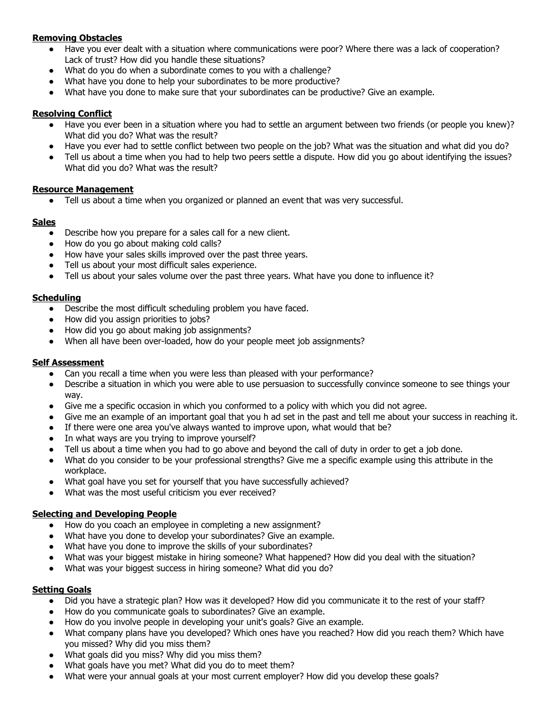## **Removing Obstacles**

- Have you ever dealt with a situation where communications were poor? Where there was a lack of cooperation? Lack of trust? How did you handle these situations?
- What do you do when a subordinate comes to you with a challenge?
- What have you done to help your subordinates to be more productive?
- What have you done to make sure that your subordinates can be productive? Give an example.

#### **Resolving Conflict**

- Have you ever been in a situation where you had to settle an argument between two friends (or people you knew)? What did you do? What was the result?
- Have you ever had to settle conflict between two people on the job? What was the situation and what did you do?
- Tell us about a time when you had to help two peers settle a dispute. How did you go about identifying the issues? What did you do? What was the result?

#### **Resource Management**

• Tell us about a time when you organized or planned an event that was very successful.

#### **Sales**

- Describe how you prepare for a sales call for a new client.
- How do you go about making cold calls?
- How have your sales skills improved over the past three years.
- Tell us about your most difficult sales experience.
- Tell us about your sales volume over the past three years. What have you done to influence it?

#### **Scheduling**

- Describe the most difficult scheduling problem you have faced.
- How did you assign priorities to jobs?
- How did you go about making job assignments?
- When all have been over-loaded, how do your people meet job assignments?

#### **Self Assessment**

- Can you recall a time when you were less than pleased with your performance?
- Describe a situation in which you were able to use persuasion to successfully convince someone to see things your way.
- Give me a specific occasion in which you conformed to a policy with which you did not agree.
- Give me an example of an important goal that you h ad set in the past and tell me about your success in reaching it.
- If there were one area you've always wanted to improve upon, what would that be?
- In what ways are you trying to improve yourself?
- Tell us about a time when you had to go above and beyond the call of duty in order to get a job done.
- What do you consider to be your professional strengths? Give me a specific example using this attribute in the workplace.
- What goal have you set for yourself that you have successfully achieved?
- What was the most useful criticism you ever received?

#### **Selecting and Developing People**

- How do you coach an employee in completing a new assignment?
- What have you done to develop your subordinates? Give an example.
- What have you done to improve the skills of your subordinates?
- What was your biggest mistake in hiring someone? What happened? How did you deal with the situation?
- What was your biggest success in hiring someone? What did you do?

#### **Setting Goals**

- Did you have a strategic plan? How was it developed? How did you communicate it to the rest of your staff?
- How do you communicate goals to subordinates? Give an example.
- How do you involve people in developing your unit's goals? Give an example.
- What company plans have you developed? Which ones have you reached? How did you reach them? Which have you missed? Why did you miss them?
- What goals did you miss? Why did you miss them?
- What goals have you met? What did you do to meet them?
- What were your annual goals at your most current employer? How did you develop these goals?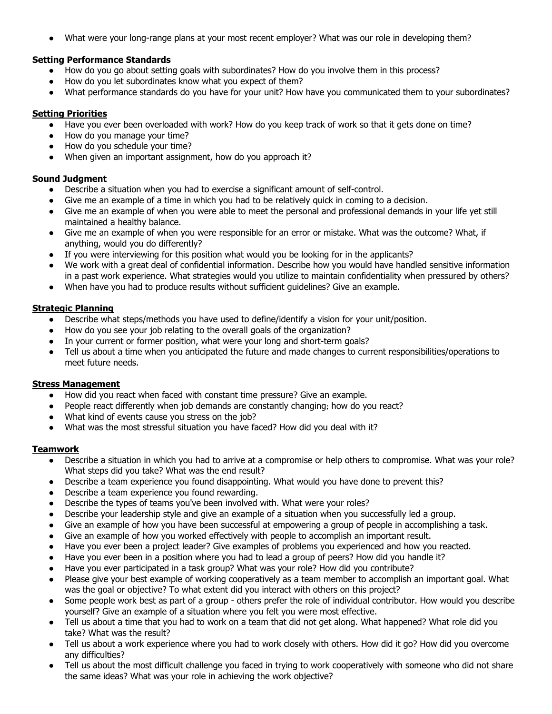What were your long-range plans at your most recent employer? What was our role in developing them?

# **Setting Performance Standards**

- How do you go about setting goals with subordinates? How do you involve them in this process?
- How do you let subordinates know what you expect of them?
- What performance standards do you have for your unit? How have you communicated them to your subordinates?

# **Setting Priorities**

- Have you ever been overloaded with work? How do you keep track of work so that it gets done on time?
- How do you manage your time?
- How do you schedule your time?
- When given an important assignment, how do you approach it?

# **Sound Judgment**

- Describe a situation when you had to exercise a significant amount of self-control.
- Give me an example of a time in which you had to be relatively quick in coming to a decision.
- Give me an example of when you were able to meet the personal and professional demands in your life yet still maintained a healthy balance.
- Give me an example of when you were responsible for an error or mistake. What was the outcome? What, if anything, would you do differently?
- If you were interviewing for this position what would you be looking for in the applicants?
- We work with a great deal of confidential information. Describe how you would have handled sensitive information in a past work experience. What strategies would you utilize to maintain confidentiality when pressured by others?
- When have you had to produce results without sufficient guidelines? Give an example.

# **Strategic Planning**

- Describe what steps/methods you have used to define/identify a vision for your unit/position.
- How do you see your job relating to the overall goals of the organization?
- In your current or former position, what were your long and short-term goals?
- Tell us about a time when you anticipated the future and made changes to current responsibilities/operations to meet future needs.

# **Stress Management**

- How did you react when faced with constant time pressure? Give an example.
- People react differently when job demands are constantly changing; how do you react?
- What kind of events cause you stress on the job?
- What was the most stressful situation you have faced? How did you deal with it?

## **Teamwork**

- Describe a situation in which you had to arrive at a compromise or help others to compromise. What was your role? What steps did you take? What was the end result?
- Describe a team experience you found disappointing. What would you have done to prevent this?
- Describe a team experience you found rewarding.
- Describe the types of teams you've been involved with. What were your roles?
- Describe your leadership style and give an example of a situation when you successfully led a group.
- Give an example of how you have been successful at empowering a group of people in accomplishing a task.
- Give an example of how you worked effectively with people to accomplish an important result.
- Have you ever been a project leader? Give examples of problems you experienced and how you reacted.
- Have you ever been in a position where you had to lead a group of peers? How did you handle it?
- Have you ever participated in a task group? What was your role? How did you contribute?
- Please give your best example of working cooperatively as a team member to accomplish an important goal. What was the goal or objective? To what extent did you interact with others on this project?
- Some people work best as part of a group others prefer the role of individual contributor. How would you describe yourself? Give an example of a situation where you felt you were most effective.
- Tell us about a time that you had to work on a team that did not get along. What happened? What role did you take? What was the result?
- Tell us about a work experience where you had to work closely with others. How did it go? How did you overcome any difficulties?
- Tell us about the most difficult challenge you faced in trying to work cooperatively with someone who did not share the same ideas? What was your role in achieving the work objective?